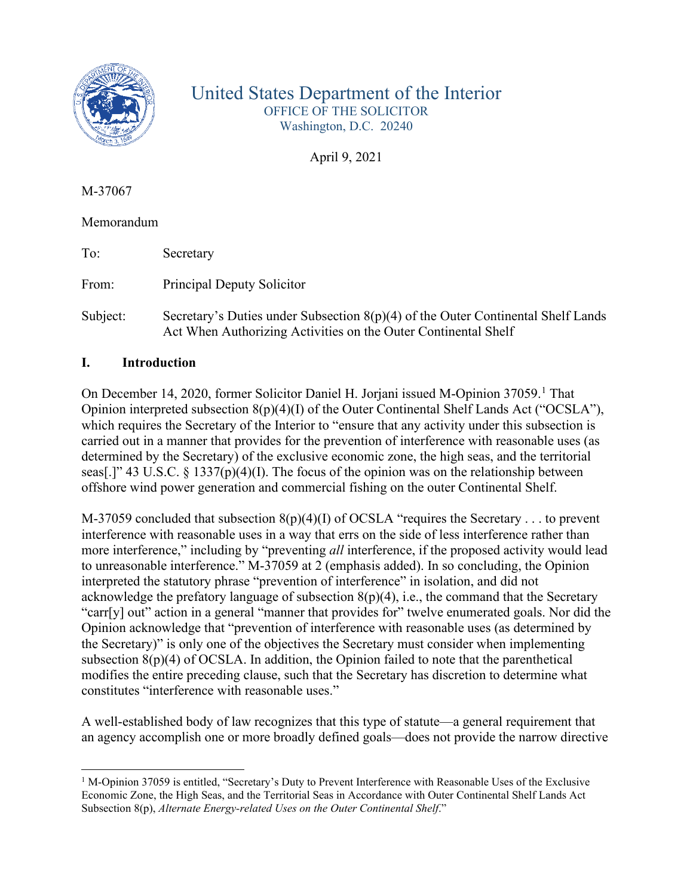

# United States Department of the Interior OFFICE OF THE SOLICITOR Washington, D.C. 20240

April 9, 2021

M-37067

Memorandum

To: Secretary

From: Principal Deputy Solicitor

Subject: Secretary's Duties under Subsection 8(p)(4) of the Outer Continental Shelf Lands Act When Authorizing Activities on the Outer Continental Shelf

## **I. Introduction**

On December [1](#page-0-0)4, 2020, former Solicitor Daniel H. Jorjani issued M-Opinion 37059.<sup>1</sup> That Opinion interpreted subsection 8(p)(4)(I) of the Outer Continental Shelf Lands Act ("OCSLA"), which requires the Secretary of the Interior to "ensure that any activity under this subsection is carried out in a manner that provides for the prevention of interference with reasonable uses (as determined by the Secretary) of the exclusive economic zone, the high seas, and the territorial seas[.]" 43 U.S.C. § 1337(p)(4)(I). The focus of the opinion was on the relationship between offshore wind power generation and commercial fishing on the outer Continental Shelf.

M-37059 concluded that subsection  $8(p)(4)(I)$  of OCSLA "requires the Secretary . . . to prevent interference with reasonable uses in a way that errs on the side of less interference rather than more interference," including by "preventing *all* interference, if the proposed activity would lead to unreasonable interference." M-37059 at 2 (emphasis added). In so concluding, the Opinion interpreted the statutory phrase "prevention of interference" in isolation, and did not acknowledge the prefatory language of subsection  $8(p)(4)$ , i.e., the command that the Secretary "carr[y] out" action in a general "manner that provides for" twelve enumerated goals. Nor did the Opinion acknowledge that "prevention of interference with reasonable uses (as determined by the Secretary)" is only one of the objectives the Secretary must consider when implementing subsection  $8(p)(4)$  of OCSLA. In addition, the Opinion failed to note that the parenthetical modifies the entire preceding clause, such that the Secretary has discretion to determine what constitutes "interference with reasonable uses."

A well-established body of law recognizes that this type of statute—a general requirement that an agency accomplish one or more broadly defined goals—does not provide the narrow directive

<span id="page-0-0"></span> $1$  M-Opinion 37059 is entitled, "Secretary's Duty to Prevent Interference with Reasonable Uses of the Exclusive Economic Zone, the High Seas, and the Territorial Seas in Accordance with Outer Continental Shelf Lands Act Subsection 8(p), *Alternate Energy-related Uses on the Outer Continental Shelf*."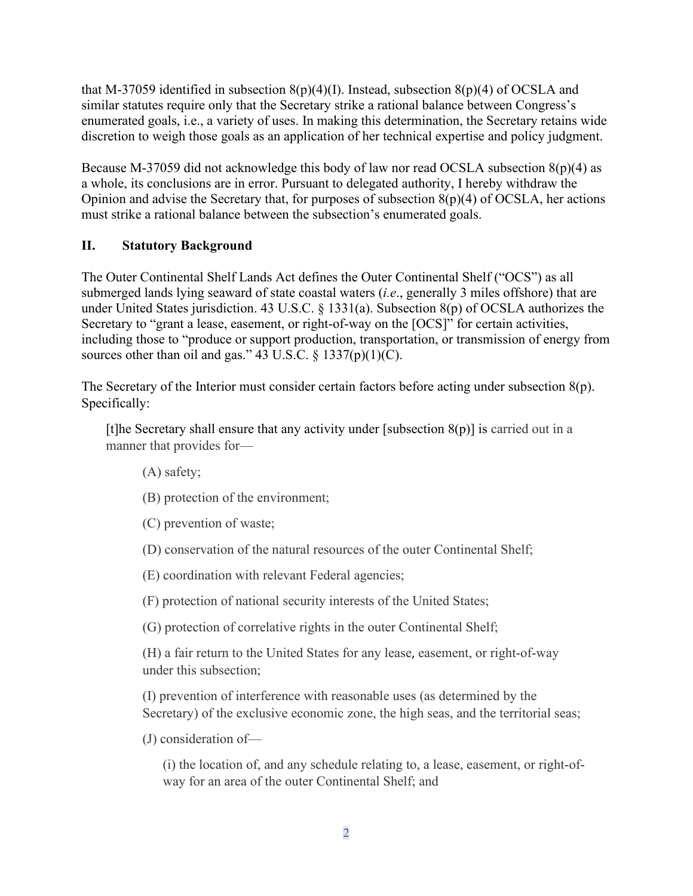that M-37059 identified in subsection  $8(p)(4)(I)$ . Instead, subsection  $8(p)(4)$  of OCSLA and similar statutes require only that the Secretary strike a rational balance between Congress's enumerated goals, i.e., a variety of uses. In making this determination, the Secretary retains wide discretion to weigh those goals as an application of her technical expertise and policy judgment.

Because M-37059 did not acknowledge this body of law nor read OCSLA subsection 8(p)(4) as a whole, its conclusions are in error. Pursuant to delegated authority, I hereby withdraw the Opinion and advise the Secretary that, for purposes of subsection 8(p)(4) of OCSLA, her actions must strike a rational balance between the subsection's enumerated goals.

## **II. Statutory Background**

The Outer Continental Shelf Lands Act defines the Outer Continental Shelf ("OCS") as all submerged lands lying seaward of state coastal waters (*i.e*., generally 3 miles offshore) that are under United States jurisdiction. 43 U.S.C. § 1331(a). Subsection 8(p) of OCSLA authorizes the Secretary to "grant a lease, easement, or right-of-way on the [OCS]" for certain activities, including those to "produce or support production, transportation, or transmission of energy from sources other than oil and gas." 43 U.S.C.  $\S$  1337(p)(1)(C).

The Secretary of the Interior must consider certain factors before acting under subsection 8(p). Specifically:

[t]he Secretary shall ensure that any activity under [subsection  $8(p)$ ] is carried out in a manner that provides for—

(A) safety;

(B) protection of the environment;

(C) prevention of waste;

(D) conservation of the natural resources of the outer Continental Shelf;

(E) coordination with relevant Federal agencies;

(F) protection of national security interests of the United States;

(G) protection of correlative rights in the outer Continental Shelf;

(H) a fair return to the United States for any lease, easement, or right-of-way under this subsection;

(I) prevention of interference with reasonable uses (as determined by the Secretary) of the exclusive economic zone, the high seas, and the territorial seas;

(J) consideration of—

(i) the location of, and any schedule relating to, a lease, easement, or right-ofway for an area of the outer Continental Shelf; and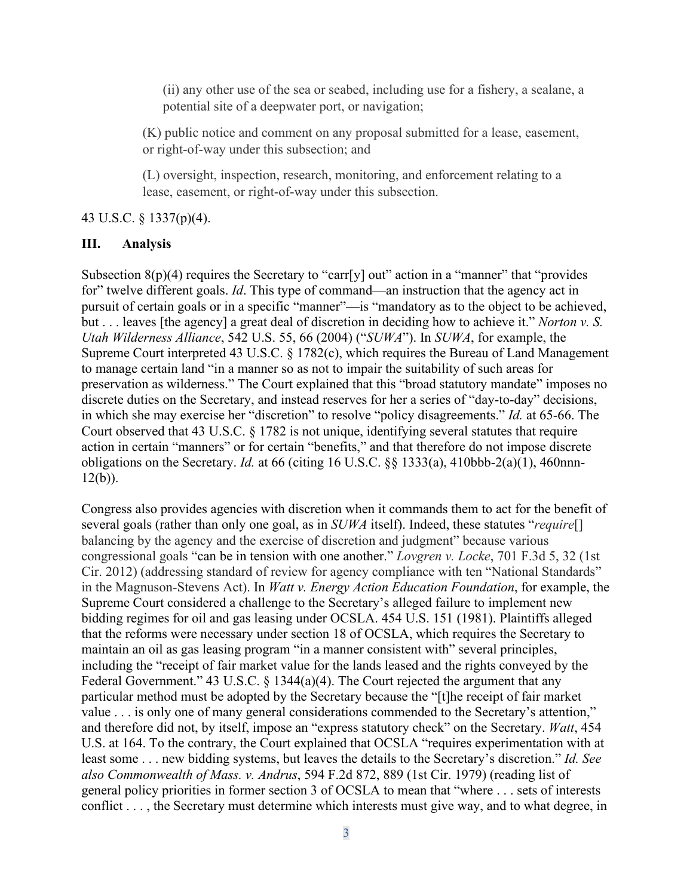(ii) any other use of the sea or seabed, including use for a fishery, a sealane, a potential site of a deepwater port, or navigation;

(K) public notice and comment on any proposal submitted for a lease, easement, or right-of-way under this subsection; and

(L) oversight, inspection, research, monitoring, and enforcement relating to a lease, easement, or right-of-way under this subsection.

#### 43 U.S.C. § 1337(p)(4).

#### **III. Analysis**

Subsection  $8(p)(4)$  requires the Secretary to "carr[y] out" action in a "manner" that "provides for" twelve different goals. *Id*. This type of command—an instruction that the agency act in pursuit of certain goals or in a specific "manner"—is "mandatory as to the object to be achieved, but . . . leaves [the agency] a great deal of discretion in deciding how to achieve it." *Norton v. S. Utah Wilderness Alliance*, 542 U.S. 55, 66 (2004) ("*SUWA*"). In *SUWA*, for example, the Supreme Court interpreted 43 U.S.C. § 1782(c), which requires the Bureau of Land Management to manage certain land "in a manner so as not to impair the suitability of such areas for preservation as wilderness." The Court explained that this "broad statutory mandate" imposes no discrete duties on the Secretary, and instead reserves for her a series of "day-to-day" decisions, in which she may exercise her "discretion" to resolve "policy disagreements." *Id.* at 65-66. The Court observed that 43 U.S.C. § 1782 is not unique, identifying several statutes that require action in certain "manners" or for certain "benefits," and that therefore do not impose discrete obligations on the Secretary. *Id.* at 66 (citing 16 U.S.C. §§ 1333(a), 410bbb-2(a)(1), 460nnn- $12(b)$ ).

Congress also provides agencies with discretion when it commands them to act for the benefit of several goals (rather than only one goal, as in *SUWA* itself). Indeed, these statutes "*require*[] balancing by the agency and the exercise of discretion and judgment" because various congressional goals "can be in tension with one another." *Lovgren v. Locke*, 701 F.3d 5, 32 (1st Cir. 2012) (addressing standard of review for agency compliance with ten "National Standards" in the Magnuson-Stevens Act). In *Watt v. Energy Action Education Foundation*, for example, the Supreme Court considered a challenge to the Secretary's alleged failure to implement new bidding regimes for oil and gas leasing under OCSLA. 454 U.S. 151 (1981). Plaintiffs alleged that the reforms were necessary under section 18 of OCSLA, which requires the Secretary to maintain an oil as gas leasing program "in a manner consistent with" several principles, including the "receipt of fair market value for the lands leased and the rights conveyed by the Federal Government." 43 U.S.C. § 1344(a)(4). The Court rejected the argument that any particular method must be adopted by the Secretary because the "[t]he receipt of fair market value . . . is only one of many general considerations commended to the Secretary's attention," and therefore did not, by itself, impose an "express statutory check" on the Secretary. *Watt*, 454 U.S. at 164. To the contrary, the Court explained that OCSLA "requires experimentation with at least some . . . new bidding systems, but leaves the details to the Secretary's discretion." *Id. See also Commonwealth of Mass. v. Andrus*, 594 F.2d 872, 889 (1st Cir. 1979) (reading list of general policy priorities in former section 3 of OCSLA to mean that "where . . . sets of interests conflict . . . , the Secretary must determine which interests must give way, and to what degree, in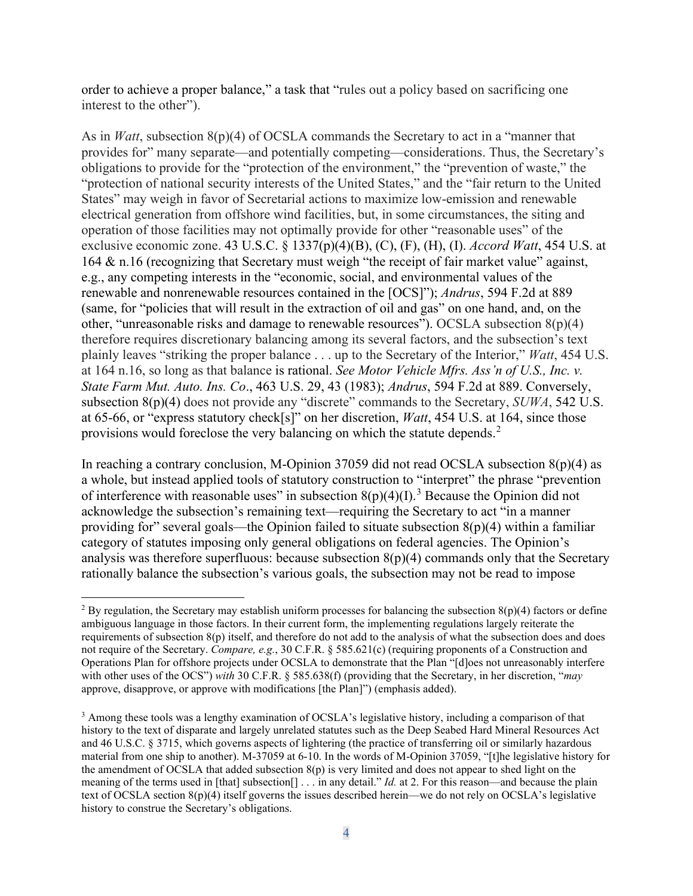order to achieve a proper balance," a task that "rules out a policy based on sacrificing one interest to the other").

As in *Watt*, subsection 8(p)(4) of OCSLA commands the Secretary to act in a "manner that provides for" many separate—and potentially competing—considerations. Thus, the Secretary's obligations to provide for the "protection of the environment," the "prevention of waste," the "protection of national security interests of the United States," and the "fair return to the United States" may weigh in favor of Secretarial actions to maximize low-emission and renewable electrical generation from offshore wind facilities, but, in some circumstances, the siting and operation of those facilities may not optimally provide for other "reasonable uses" of the exclusive economic zone. 43 U.S.C. § 1337(p)(4)(B), (C), (F), (H), (I). *Accord Watt*, 454 U.S. at 164 & n.16 (recognizing that Secretary must weigh "the receipt of fair market value" against, e.g., any competing interests in the "economic, social, and environmental values of the renewable and nonrenewable resources contained in the [OCS]"); *Andrus*, 594 F.2d at 889 (same, for "policies that will result in the extraction of oil and gas" on one hand, and, on the other, "unreasonable risks and damage to renewable resources"). OCSLA subsection 8(p)(4) therefore requires discretionary balancing among its several factors, and the subsection's text plainly leaves "striking the proper balance . . . up to the Secretary of the Interior," *Watt*, 454 U.S. at 164 n.16, so long as that balance is rational. *See Motor Vehicle Mfrs. Ass'n of U.S., Inc. v. State Farm Mut. Auto. Ins. Co*., 463 U.S. 29, 43 (1983); *Andrus*, 594 F.2d at 889. Conversely, subsection 8(p)(4) does not provide any "discrete" commands to the Secretary, *SUWA*, 542 U.S. at 65-66, or "express statutory check[s]" on her discretion, *Watt*, 454 U.S. at 164, since those provisions would foreclose the very balancing on which the statute depends.<sup>[2](#page-3-0)</sup>

In reaching a contrary conclusion, M-Opinion 37059 did not read OCSLA subsection  $8(p)(4)$  as a whole, but instead applied tools of statutory construction to "interpret" the phrase "prevention of interference with reasonable uses" in subsection  $8(p)(4)(I)$ .<sup>[3](#page-3-1)</sup> Because the Opinion did not acknowledge the subsection's remaining text—requiring the Secretary to act "in a manner providing for" several goals—the Opinion failed to situate subsection  $8(p)(4)$  within a familiar category of statutes imposing only general obligations on federal agencies. The Opinion's analysis was therefore superfluous: because subsection  $8(p)(4)$  commands only that the Secretary rationally balance the subsection's various goals, the subsection may not be read to impose

<span id="page-3-0"></span><sup>&</sup>lt;sup>2</sup> By regulation, the Secretary may establish uniform processes for balancing the subsection  $8(p)(4)$  factors or define ambiguous language in those factors. In their current form, the implementing regulations largely reiterate the requirements of subsection  $8(p)$  itself, and therefore do not add to the analysis of what the subsection does and does not require of the Secretary. *Compare, e.g.*, 30 C.F.R. § 585.621(c) (requiring proponents of a Construction and Operations Plan for offshore projects under OCSLA to demonstrate that the Plan "[d]oes not unreasonably interfere with other uses of the OCS") *with* 30 C.F.R. § 585.638(f) (providing that the Secretary, in her discretion, "*may* approve, disapprove, or approve with modifications [the Plan]") (emphasis added).

<span id="page-3-1"></span><sup>&</sup>lt;sup>3</sup> Among these tools was a lengthy examination of OCSLA's legislative history, including a comparison of that history to the text of disparate and largely unrelated statutes such as the Deep Seabed Hard Mineral Resources Act and 46 U.S.C. § 3715, which governs aspects of lightering (the practice of transferring oil or similarly hazardous material from one ship to another). M-37059 at 6-10. In the words of M-Opinion 37059, "[t]he legislative history for the amendment of OCSLA that added subsection 8(p) is very limited and does not appear to shed light on the meaning of the terms used in [that] subsection[] . . . in any detail." *Id.* at 2. For this reason—and because the plain text of OCSLA section 8(p)(4) itself governs the issues described herein—we do not rely on OCSLA's legislative history to construe the Secretary's obligations.